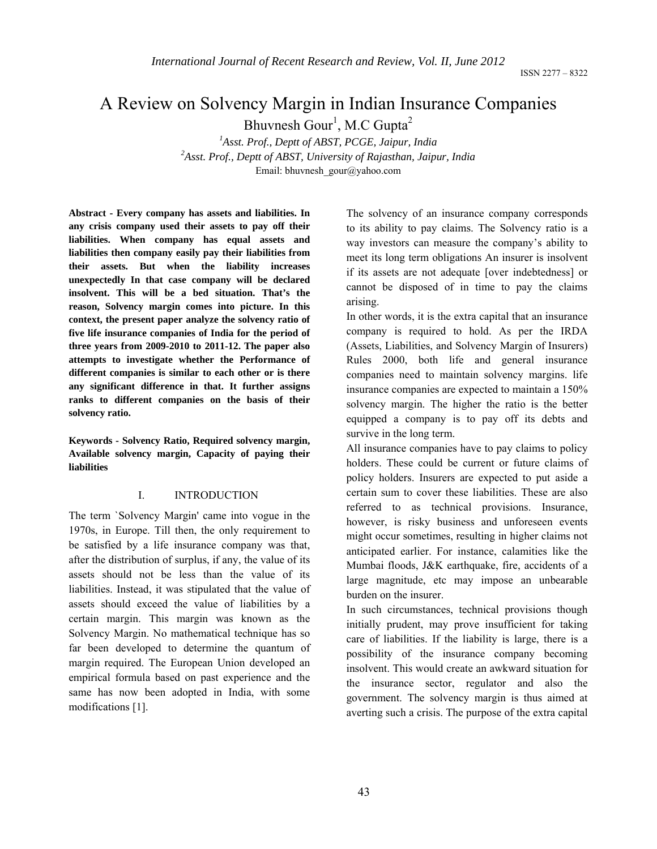# A Review on Solvency Margin in Indian Insurance Companies

Bhuvnesh Gour<sup>1</sup>, M.C Gupta<sup>2</sup>

<sup>1</sup>Asst. Prof., Deptt of ABST, PCGE, Jaipur, India<sup>2</sup><br><sup>2</sup>Asst. Prof., Dontt of ABST, University of Beigethan, Jaim *Asst. Prof., Deptt of ABST, University of Rajasthan, Jaipur, India*  Email: bhuvnesh\_gour@yahoo.com

**Abstract - Every company has assets and liabilities. In any crisis company used their assets to pay off their liabilities. When company has equal assets and liabilities then company easily pay their liabilities from their assets. But when the liability increases unexpectedly In that case company will be declared insolvent. This will be a bed situation. That's the reason, Solvency margin comes into picture. In this context, the present paper analyze the solvency ratio of five life insurance companies of India for the period of three years from 2009-2010 to 2011-12. The paper also attempts to investigate whether the Performance of different companies is similar to each other or is there any significant difference in that. It further assigns ranks to different companies on the basis of their solvency ratio.** 

**Keywords - Solvency Ratio, Required solvency margin, Available solvency margin, Capacity of paying their liabilities** 

#### I. INTRODUCTION

The term `Solvency Margin' came into vogue in the 1970s, in Europe. Till then, the only requirement to be satisfied by a life insurance company was that, after the distribution of surplus, if any, the value of its assets should not be less than the value of its liabilities. Instead, it was stipulated that the value of assets should exceed the value of liabilities by a certain margin. This margin was known as the Solvency Margin. No mathematical technique has so far been developed to determine the quantum of margin required. The European Union developed an empirical formula based on past experience and the same has now been adopted in India, with some modifications [1].

The solvency of an insurance company corresponds to its ability to pay claims. The Solvency ratio is a way investors can measure the company's ability to meet its long term obligations An insurer is insolvent if its assets are not adequate [over indebtedness] or cannot be disposed of in time to pay the claims arising.

In other words, it is the extra capital that an insurance company is required to hold. As per the IRDA (Assets, Liabilities, and Solvency Margin of Insurers) Rules 2000, both life and general insurance companies need to maintain solvency margins. life insurance companies are expected to maintain a 150% solvency margin. The higher the ratio is the better equipped a company is to pay off its debts and survive in the long term.

All insurance companies have to pay claims to policy holders. These could be current or future claims of policy holders. Insurers are expected to put aside a certain sum to cover these liabilities. These are also referred to as technical provisions. Insurance, however, is risky business and unforeseen events might occur sometimes, resulting in higher claims not anticipated earlier. For instance, calamities like the Mumbai floods, J&K earthquake, fire, accidents of a large magnitude, etc may impose an unbearable burden on the insurer.

In such circumstances, technical provisions though initially prudent, may prove insufficient for taking care of liabilities. If the liability is large, there is a possibility of the insurance company becoming insolvent. This would create an awkward situation for the insurance sector, regulator and also the government. The solvency margin is thus aimed at averting such a crisis. The purpose of the extra capital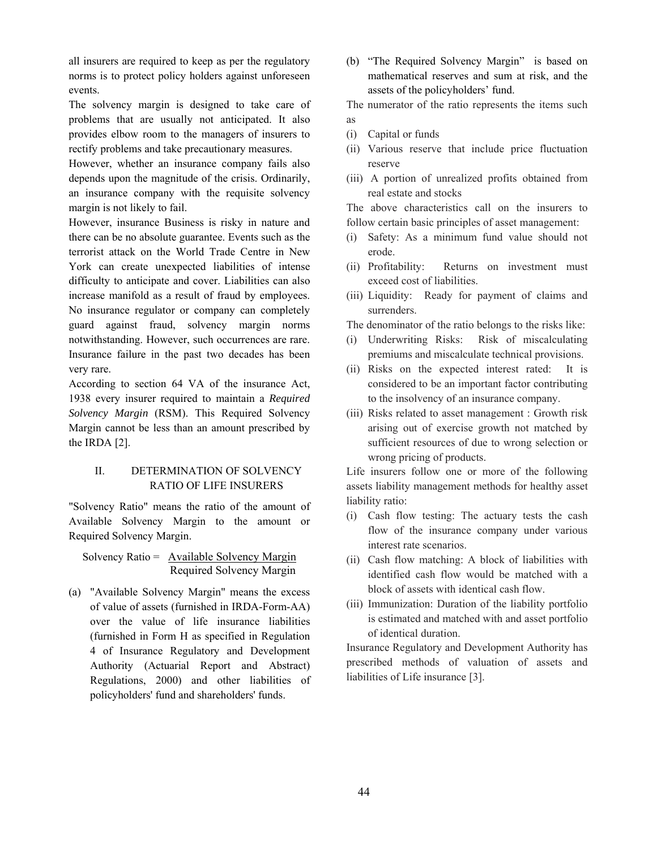all insurers are required to keep as per the regulatory norms is to protect policy holders against unforeseen events.

The solvency margin is designed to take care of problems that are usually not anticipated. It also provides elbow room to the managers of insurers to rectify problems and take precautionary measures.

However, whether an insurance company fails also depends upon the magnitude of the crisis. Ordinarily, an insurance company with the requisite solvency margin is not likely to fail.

However, insurance Business is risky in nature and there can be no absolute guarantee. Events such as the terrorist attack on the World Trade Centre in New York can create unexpected liabilities of intense difficulty to anticipate and cover. Liabilities can also increase manifold as a result of fraud by employees. No insurance regulator or company can completely guard against fraud, solvency margin norms notwithstanding. However, such occurrences are rare. Insurance failure in the past two decades has been very rare.

According to section 64 VA of the insurance Act, 1938 every insurer required to maintain a *Required Solvency Margin* (RSM). This Required Solvency Margin cannot be less than an amount prescribed by the IRDA [2].

# II. DETERMINATION OF SOLVENCY RATIO OF LIFE INSURERS

"Solvency Ratio" means the ratio of the amount of Available Solvency Margin to the amount or Required Solvency Margin.

## Solvency Ratio = Available Solvency Margin Required Solvency Margin

(a) "Available Solvency Margin" means the excess of value of assets (furnished in IRDA-Form-AA) over the value of life insurance liabilities (furnished in Form H as specified in Regulation 4 of Insurance Regulatory and Development Authority (Actuarial Report and Abstract) Regulations, 2000) and other liabilities of policyholders' fund and shareholders' funds.

(b) "The Required Solvency Margin" is based on mathematical reserves and sum at risk, and the assets of the policyholders' fund.

The numerator of the ratio represents the items such as

- (i) Capital or funds
- (ii) Various reserve that include price fluctuation reserve
- (iii) A portion of unrealized profits obtained from real estate and stocks

The above characteristics call on the insurers to follow certain basic principles of asset management:

- (i) Safety: As a minimum fund value should not erode.
- (ii) Profitability: Returns on investment must exceed cost of liabilities.
- (iii) Liquidity: Ready for payment of claims and surrenders.

The denominator of the ratio belongs to the risks like:

- (i) Underwriting Risks: Risk of miscalculating premiums and miscalculate technical provisions.
- (ii) Risks on the expected interest rated: It is considered to be an important factor contributing to the insolvency of an insurance company.
- (iii) Risks related to asset management : Growth risk arising out of exercise growth not matched by sufficient resources of due to wrong selection or wrong pricing of products.

Life insurers follow one or more of the following assets liability management methods for healthy asset liability ratio:

- (i) Cash flow testing: The actuary tests the cash flow of the insurance company under various interest rate scenarios.
- (ii) Cash flow matching: A block of liabilities with identified cash flow would be matched with a block of assets with identical cash flow.
- (iii) Immunization: Duration of the liability portfolio is estimated and matched with and asset portfolio of identical duration.

Insurance Regulatory and Development Authority has prescribed methods of valuation of assets and liabilities of Life insurance [3].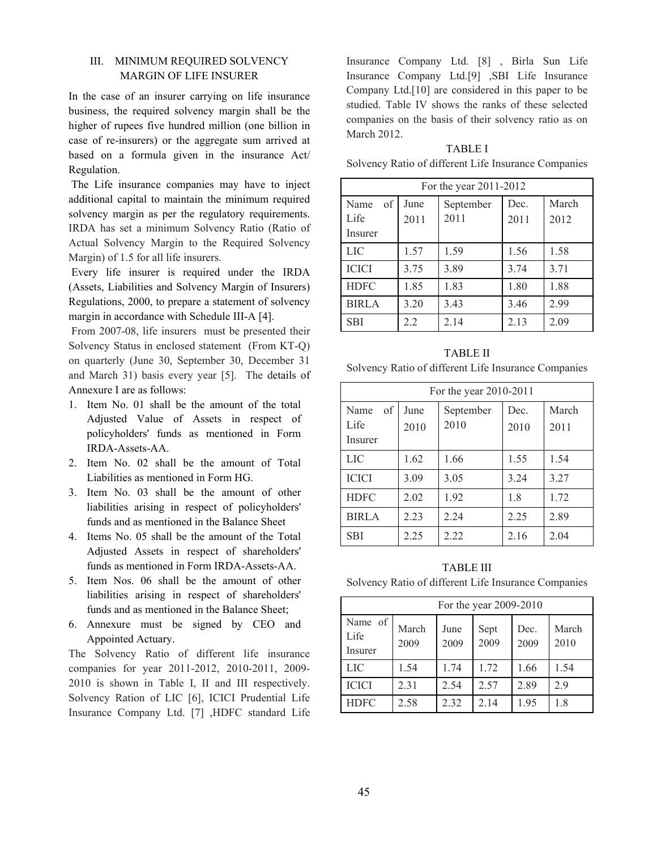## III. MINIMUM REQUIRED SOLVENCY MARGIN OF LIFE INSURER

In the case of an insurer carrying on life insurance business, the required solvency margin shall be the higher of rupees five hundred million (one billion in case of re-insurers) or the aggregate sum arrived at based on a formula given in the insurance Act/ Regulation.

 The Life insurance companies may have to inject additional capital to maintain the minimum required solvency margin as per the regulatory requirements. IRDA has set a minimum Solvency Ratio (Ratio of Actual Solvency Margin to the Required Solvency Margin) of 1.5 for all life insurers.

 Every life insurer is required under the IRDA (Assets, Liabilities and Solvency Margin of Insurers) Regulations, 2000, to prepare a statement of solvency margin in accordance with Schedule III-A [4].

 From 2007-08, life insurers must be presented their Solvency Status in enclosed statement (From KT-Q) on quarterly (June 30, September 30, December 31 and March 31) basis every year [5]. The details of Annexure I are as follows:

- 1. Item No. 01 shall be the amount of the total Adjusted Value of Assets in respect of policyholders' funds as mentioned in Form IRDA-Assets-AA.
- 2. Item No. 02 shall be the amount of Total Liabilities as mentioned in Form HG.
- 3. Item No. 03 shall be the amount of other liabilities arising in respect of policyholders' funds and as mentioned in the Balance Sheet
- 4. Items No. 05 shall be the amount of the Total Adjusted Assets in respect of shareholders' funds as mentioned in Form IRDA-Assets-AA.
- 5. Item Nos. 06 shall be the amount of other liabilities arising in respect of shareholders' funds and as mentioned in the Balance Sheet;
- 6. Annexure must be signed by CEO and Appointed Actuary.

The Solvency Ratio of different life insurance companies for year 2011-2012, 2010-2011, 2009- 2010 is shown in Table I, II and III respectively. Solvency Ration of LIC [6], ICICI Prudential Life Insurance Company Ltd. [7] ,HDFC standard Life Insurance Company Ltd. [8] , Birla Sun Life Insurance Company Ltd.[9] ,SBI Life Insurance Company Ltd.[10] are considered in this paper to be studied. Table IV shows the ranks of these selected companies on the basis of their solvency ratio as on March 2012.

## TABLE I

Solvency Ratio of different Life Insurance Companies

| For the year 2011-2012        |              |                   |              |               |  |  |
|-------------------------------|--------------|-------------------|--------------|---------------|--|--|
| of<br>Name<br>Life<br>Insurer | June<br>2011 | September<br>2011 | Dec.<br>2011 | March<br>2012 |  |  |
| <b>LIC</b>                    | 1.57         | 1.59              | 1.56         | 1.58          |  |  |
| <b>ICICI</b>                  | 3.75         | 3.89              | 3.74         | 3.71          |  |  |
| <b>HDFC</b>                   | 1.85         | 1.83              | 1.80         | 1.88          |  |  |
| <b>BIRLA</b>                  | 3.20         | 3.43              | 3.46         | 2.99          |  |  |
| <b>SBI</b>                    | 2.2          | 2.14              | 2.13         | 2.09          |  |  |

TABLE II Solvency Ratio of different Life Insurance Companies

| For the year 2010-2011        |              |                   |              |               |  |  |
|-------------------------------|--------------|-------------------|--------------|---------------|--|--|
| of<br>Name<br>Life<br>Insurer | June<br>2010 | September<br>2010 | Dec.<br>2010 | March<br>2011 |  |  |
| <b>LIC</b>                    | 1.62         | 1.66              | 1.55         | 1.54          |  |  |
| <b>ICICI</b>                  | 3.09         | 3.05              | 3.24         | 3.27          |  |  |
| <b>HDFC</b>                   | 2.02         | 1.92              | 1.8          | 1 72          |  |  |
| <b>BIRLA</b>                  | 2.23         | 2.24              | 2.25         | 2.89          |  |  |
| <b>SBI</b>                    | 2.25         | 2.22              | 2.16         | 2.04          |  |  |

TABLE III Solvency Ratio of different Life Insurance Companies

| For the year 2009-2010     |               |              |              |              |               |  |
|----------------------------|---------------|--------------|--------------|--------------|---------------|--|
| Name of<br>Life<br>Insurer | March<br>2009 | June<br>2009 | Sept<br>2009 | Dec.<br>2009 | March<br>2010 |  |
| <b>LIC</b>                 | 1.54          | 1.74         | 1 72         | 1.66         | 1.54          |  |
| <b>ICICI</b>               | 2.31          | 2.54         | 2.57         | 2.89         | 29            |  |
| <b>HDFC</b>                | 2.58          | 2.32         | 2 1 4        | 1.95         | 18            |  |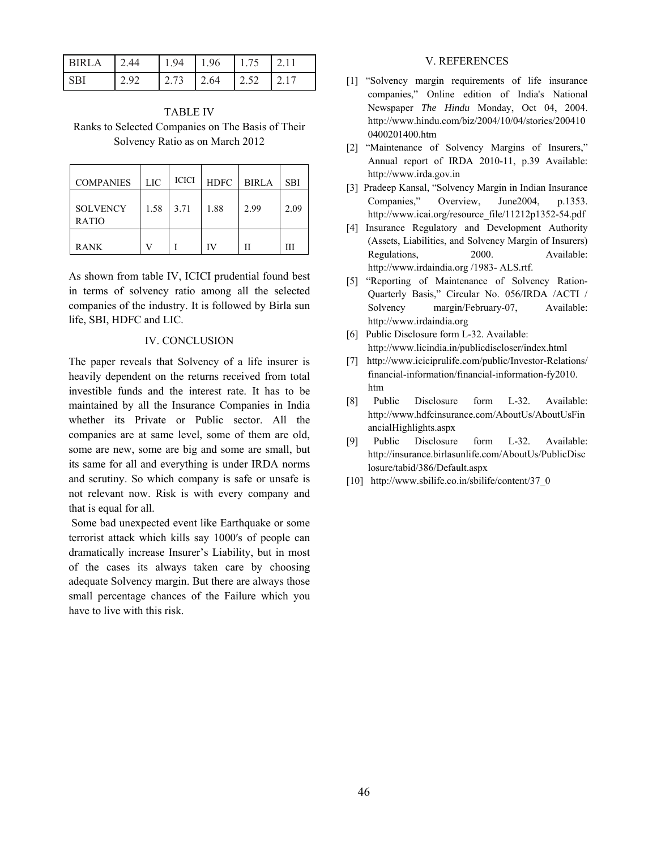| IRI A | $\Omega$ $\Delta$ | 194          | 1.96  | 1.75 | 121    |
|-------|-------------------|--------------|-------|------|--------|
| ו טי  | າ ດາ              | $\sqrt{273}$ | 12.64 | 1252 | L 2 17 |

TABLE IV Ranks to Selected Companies on The Basis of Their Solvency Ratio as on March 2012

| <b>COMPANIES</b>                | LIC  | <b>ICICI</b> | <b>HDFC</b> | <b>BIRLA</b> | <b>SBI</b> |
|---------------------------------|------|--------------|-------------|--------------|------------|
| <b>SOLVENCY</b><br><b>RATIO</b> | 1.58 | 3.71         | 1.88        | 2.99         | 2.09       |
| <b>RANK</b>                     |      |              | ΙV          |              | ш          |

As shown from table IV, ICICI prudential found best in terms of solvency ratio among all the selected companies of the industry. It is followed by Birla sun life, SBI, HDFC and LIC.

#### IV. CONCLUSION

The paper reveals that Solvency of a life insurer is heavily dependent on the returns received from total investible funds and the interest rate. It has to be maintained by all the Insurance Companies in India whether its Private or Public sector. All the companies are at same level, some of them are old, some are new, some are big and some are small, but its same for all and everything is under IRDA norms and scrutiny. So which company is safe or unsafe is not relevant now. Risk is with every company and that is equal for all.

 Some bad unexpected event like Earthquake or some terrorist attack which kills say 1000′s of people can dramatically increase Insurer's Liability, but in most of the cases its always taken care by choosing adequate Solvency margin. But there are always those small percentage chances of the Failure which you have to live with this risk.

#### V. REFERENCES

- [1] "Solvency margin requirements of life insurance companies," Online edition of India's National Newspaper *The Hindu* Monday, Oct 04, 2004. http://www.hindu.com/biz/2004/10/04/stories/200410 0400201400.htm
- [2] "Maintenance of Solvency Margins of Insurers," Annual report of IRDA 2010-11, p.39 Available: http://www.irda.gov.in
- [3] Pradeep Kansal, "Solvency Margin in Indian Insurance Companies," Overview, June2004, p.1353. http://www.icai.org/resource\_file/11212p1352-54.pdf
- [4] Insurance Regulatory and Development Authority (Assets, Liabilities, and Solvency Margin of Insurers) Regulations, 2000. Available: http://www.irdaindia.org /1983- ALS.rtf.
- [5] "Reporting of Maintenance of Solvency Ration-Quarterly Basis," Circular No. 056/IRDA /ACTI / Solvency margin/February-07, Available: http://www.irdaindia.org
- [6] Public Disclosure form L-32. Available: http://www.licindia.in/publicdiscloser/index.html
- [7] http://www.iciciprulife.com/public/Investor-Relations/ financial-information/financial-information-fy2010. htm
- [8] Public Disclosure form L-32. Available: http://www.hdfcinsurance.com/AboutUs/AboutUsFin ancialHighlights.aspx
- [9] Public Disclosure form L-32. Available: http://insurance.birlasunlife.com/AboutUs/PublicDisc losure/tabid/386/Default.aspx
- [10] http://www.sbilife.co.in/sbilife/content/37\_0